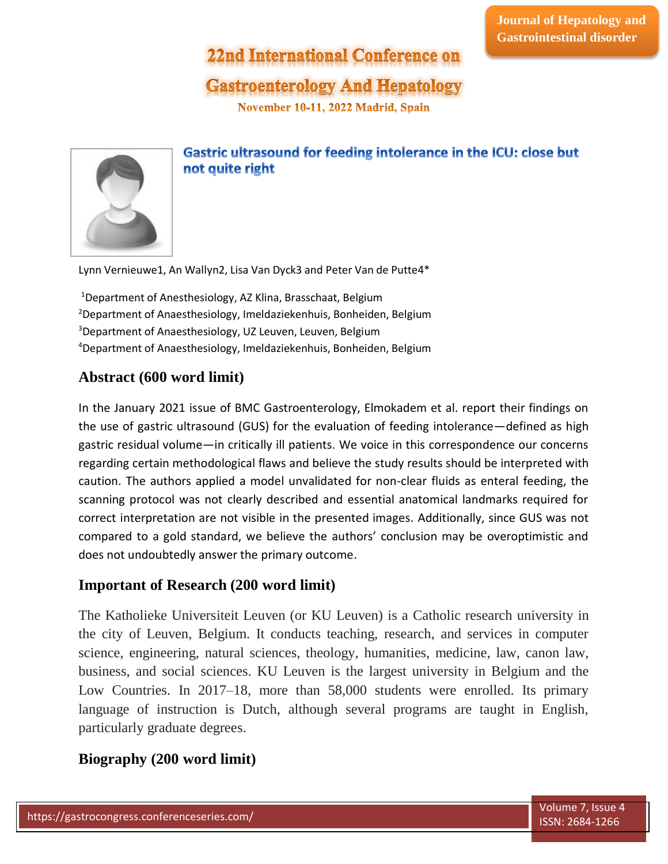# **22nd International Conference on**

# **Gastroenterology And Hepatology**

November 10-11, 2022 Madrid, Spain



### Gastric ultrasound for feeding intolerance in the ICU: close but not quite right

Lynn Vernieuwe1, An Wallyn2, Lisa Van Dyck3 and Peter Van de Putte4\*

Department of Anesthesiology, AZ Klina, Brasschaat, Belgium Department of Anaesthesiology, Imeldaziekenhuis, Bonheiden, Belgium <sup>3</sup>Department of Anaesthesiology, UZ Leuven, Leuven, Belgium Department of Anaesthesiology, Imeldaziekenhuis, Bonheiden, Belgium

## **Abstract (600 word limit)**

In the January 2021 issue of BMC Gastroenterology, Elmokadem et al. report their findings on the use of gastric ultrasound (GUS) for the evaluation of feeding intolerance—defined as high gastric residual volume—in critically ill patients. We voice in this correspondence our concerns regarding certain methodological flaws and believe the study results should be interpreted with caution. The authors applied a model unvalidated for non-clear fluids as enteral feeding, the scanning protocol was not clearly described and essential anatomical landmarks required for correct interpretation are not visible in the presented images. Additionally, since GUS was not compared to a gold standard, we believe the authors' conclusion may be overoptimistic and does not undoubtedly answer the primary outcome.

### **Important of Research (200 word limit)**

The Katholieke Universiteit Leuven (or KU Leuven) is a Catholic research university in the city of Leuven, Belgium. It conducts teaching, research, and services in computer science, engineering, natural sciences, theology, humanities, medicine, law, canon law, business, and social sciences. KU Leuven is the largest university in Belgium and the Low Countries. In 2017–18, more than 58,000 students were enrolled. Its primary language of instruction is Dutch, although several programs are taught in English, particularly graduate degrees.

### **Biography (200 word limit)**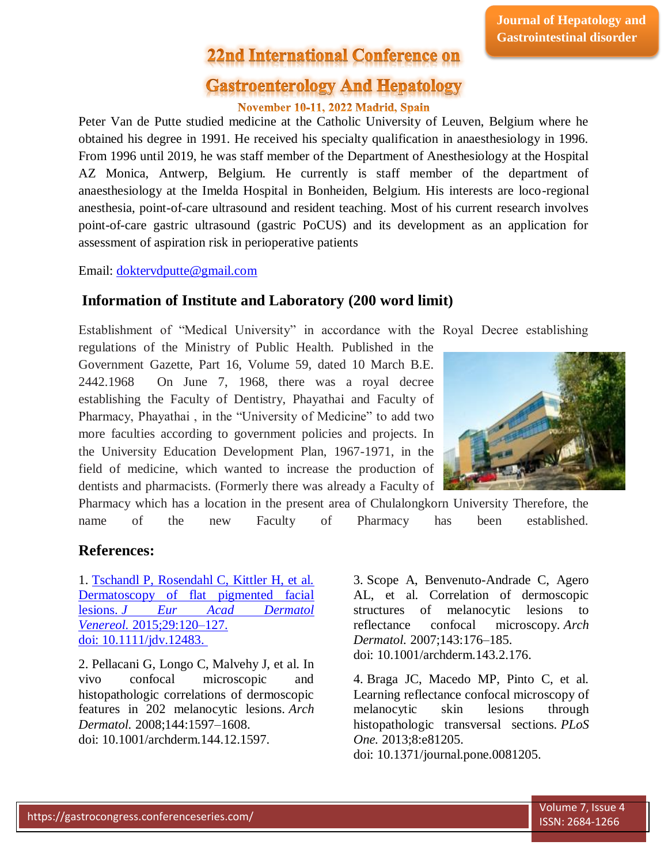# **22nd International Conference on**

## **Gastroenterology And Hepatology**

#### November 10-11, 2022 Madrid, Spain

Peter Van de Putte studied medicine at the Catholic University of Leuven, Belgium where he obtained his degree in 1991. He received his specialty qualification in anaesthesiology in 1996. From 1996 until 2019, he was staff member of the Department of Anesthesiology at the Hospital AZ Monica, Antwerp, Belgium. He currently is staff member of the department of anaesthesiology at the Imelda Hospital in Bonheiden, Belgium. His interests are loco-regional anesthesia, point-of-care ultrasound and resident teaching. Most of his current research involves point-of-care gastric ultrasound (gastric PoCUS) and its development as an application for assessment of aspiration risk in perioperative patients

Email: [doktervdputte@gmail.com](mailto:doktervdputte@gmail.com)

#### **Information of Institute and Laboratory (200 word limit)**

Establishment of "Medical University" in accordance with the Royal Decree establishing regulations of the Ministry of Public Health. Published in the Government Gazette, Part 16, Volume 59, dated 10 March B.E. 2442.1968 On June 7, 1968, there was a royal decree establishing the Faculty of Dentistry, Phayathai and Faculty of Pharmacy, Phayathai , in the "University of Medicine" to add two more faculties according to government policies and projects. In the University Education Development Plan, 1967-1971, in the field of medicine, which wanted to increase the production of dentists and pharmacists. (Formerly there was already a Faculty of

Pharmacy which has a location in the present area of Chulalongkorn University Therefore, the name of the new Faculty of Pharmacy has been established.

#### **References:**

1. [Tschandl P, Rosendahl C, Kittler H, et al.](file:///C:/Users/omics/Desktop/longdom.org/cancer-research-immuno-oncology/archive.html)  [Dermatoscopy of flat pigmented facial](file:///C:/Users/omics/Desktop/longdom.org/cancer-research-immuno-oncology/archive.html)  lesions. *[J Eur Acad Dermatol](file:///C:/Users/omics/Desktop/longdom.org/cancer-research-immuno-oncology/archive.html)  Venereol.* [2015;29:120–127.](file:///C:/Users/omics/Desktop/longdom.org/cancer-research-immuno-oncology/archive.html)  doi: [10.1111/jdv.12483.](file:///C:/Users/omics/Desktop/longdom.org/cancer-research-immuno-oncology/archive.html)

2. Pellacani G, Longo C, Malvehy J, et al. In vivo confocal microscopic and histopathologic correlations of dermoscopic features in 202 melanocytic lesions. *Arch Dermatol.* 2008;144:1597–1608. doi: 10.1001/archderm.144.12.1597.

3. Scope A, Benvenuto-Andrade C, Agero AL, et al. Correlation of dermoscopic structures of melanocytic lesions to reflectance confocal microscopy. *Arch Dermatol.* 2007;143:176–185. doi: 10.1001/archderm.143.2.176.

4. Braga JC, Macedo MP, Pinto C, et al. Learning reflectance confocal microscopy of melanocytic skin lesions through histopathologic transversal sections. *PLoS One.* 2013;8:e81205. doi: 10.1371/journal.pone.0081205.